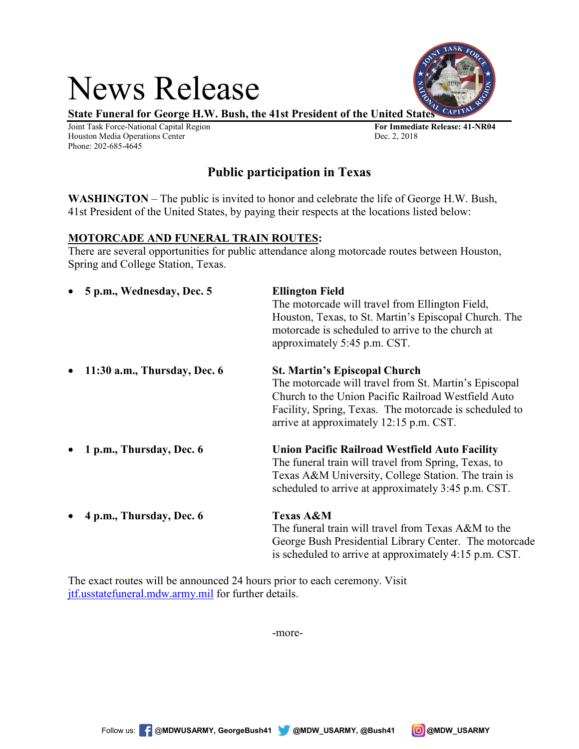# News Release

**State Funeral for George H.W. Bush, the 41st President of the United States**

Joint Task Force-National Capital Region **For Immediate Release: 41-NR04** Houston Media Operations Center Phone: 202-685-4645

# **Public participation in Texas**

**WASHINGTON** – The public is invited to honor and celebrate the life of George H.W. Bush, 41st President of the United States, by paying their respects at the locations listed below:

# **MOTORCADE AND FUNERAL TRAIN ROUTES:**

There are several opportunities for public attendance along motorcade routes between Houston, Spring and College Station, Texas.

| 5 p.m., Wednesday, Dec. 5<br>$\bullet$    | <b>Ellington Field</b><br>The motorcade will travel from Ellington Field,<br>Houston, Texas, to St. Martin's Episcopal Church. The<br>motorcade is scheduled to arrive to the church at<br>approximately 5:45 p.m. CST.                                   |
|-------------------------------------------|-----------------------------------------------------------------------------------------------------------------------------------------------------------------------------------------------------------------------------------------------------------|
| 11:30 a.m., Thursday, Dec. 6<br>$\bullet$ | <b>St. Martin's Episcopal Church</b><br>The motorcade will travel from St. Martin's Episcopal<br>Church to the Union Pacific Railroad Westfield Auto<br>Facility, Spring, Texas. The motorcade is scheduled to<br>arrive at approximately 12:15 p.m. CST. |
| 1 p.m., Thursday, Dec. 6<br>$\bullet$     | <b>Union Pacific Railroad Westfield Auto Facility</b><br>The funeral train will travel from Spring, Texas, to<br>Texas A&M University, College Station. The train is<br>scheduled to arrive at approximately 3:45 p.m. CST.                               |
| 4 p.m., Thursday, Dec. 6<br>$\bullet$     | <b>Texas A&amp;M</b><br>The funeral train will travel from Texas A&M to the<br>George Bush Presidential Library Center. The motorcade<br>is scheduled to arrive at approximately 4:15 p.m. CST.                                                           |

The exact routes will be announced 24 hours prior to each ceremony. Visit [jtf.usstatefuneral.mdw.army.mil](http://www.jtf.usstatefuneral.mdw.army.mil/) for further details.

-more-